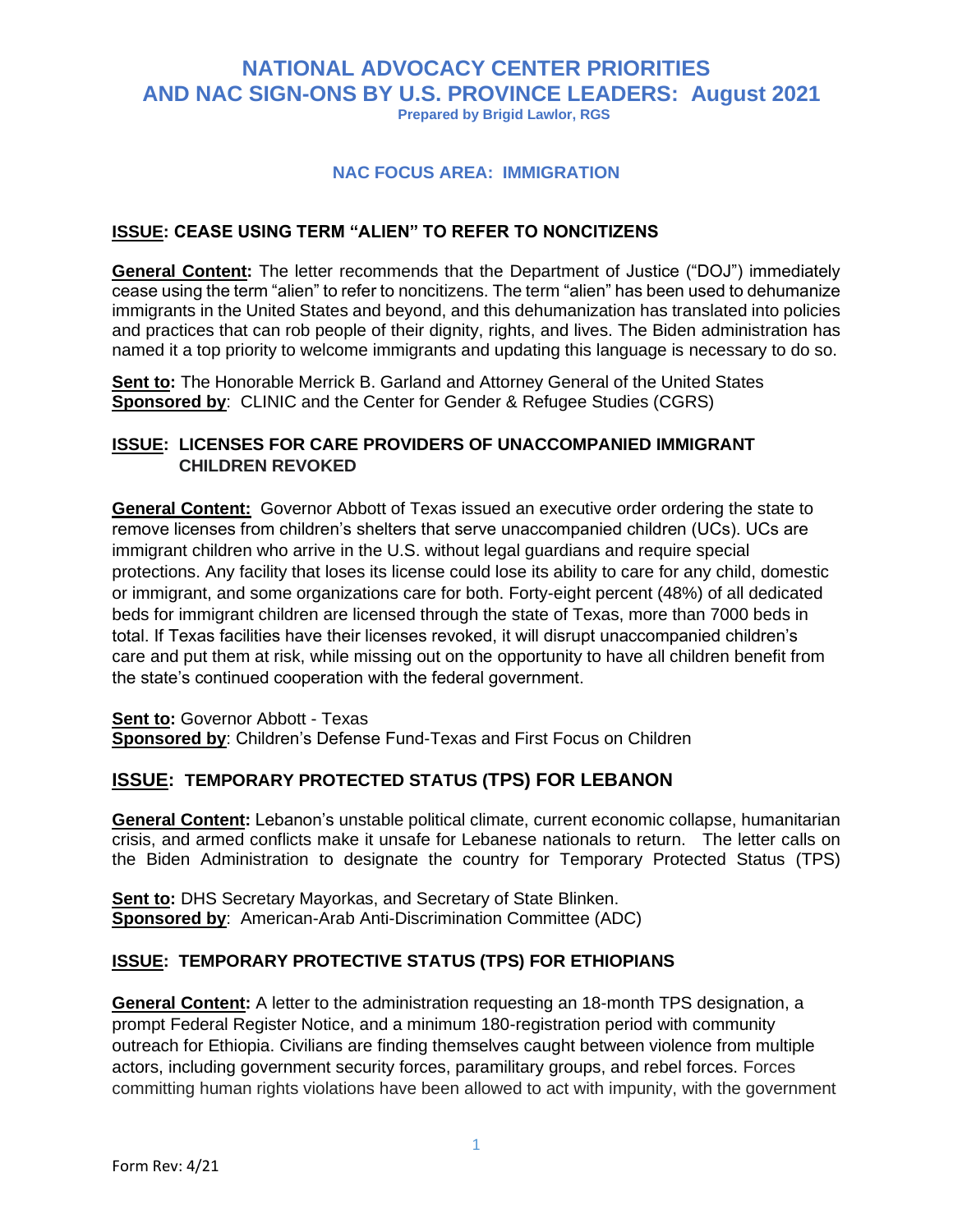## **NATIONAL ADVOCACY CENTER PRIORITIES AND NAC SIGN-ONS BY U.S. PROVINCE LEADERS: August 2021 Prepared by Brigid Lawlor, RGS**

#### **NAC FOCUS AREA: IMMIGRATION**

#### **ISSUE: CEASE USING TERM "ALIEN" TO REFER TO NONCITIZENS**

**General Content:** The letter recommends that the Department of Justice ("DOJ") immediately cease using the term "alien" to refer to noncitizens. The term "alien" has been used to dehumanize immigrants in the United States and beyond, and this dehumanization has translated into policies and practices that can rob people of their dignity, rights, and lives. The Biden administration has named it a top priority to welcome immigrants and updating this language is necessary to do so.

**Sent to:** The Honorable Merrick B. Garland and Attorney General of the United States **Sponsored by**: CLINIC and the Center for Gender & Refugee Studies (CGRS)

## **ISSUE: LICENSES FOR CARE PROVIDERS OF UNACCOMPANIED IMMIGRANT CHILDREN REVOKED**

**General Content:** Governor Abbott of Texas issued an [executive order](https://gov.texas.gov/uploads/files/press/DISASTER_border_security_IMAGE_05-31-2021.pdf) ordering the state to remove licenses from children's shelters that serve unaccompanied children (UCs). UCs are immigrant children who arrive in the U.S. without legal guardians and require special protections. Any facility that loses its license could lose its ability to care for any child, domestic or immigrant, and some organizations care for both. Forty-eight percent (48%) of all dedicated beds for immigrant children are licensed through the state of Texas, more than 7000 beds in total. If Texas facilities have their licenses revoked, it will disrupt unaccompanied children's care and put them at risk, while missing out on the opportunity to have all children benefit from the state's continued cooperation with the federal government.

**Sent to: Governor Abbott - Texas Sponsored by**: Children's Defense Fund-Texas and First Focus on Children

## **ISSUE: TEMPORARY PROTECTED STATUS (TPS) FOR LEBANON**

**General Content:** Lebanon's unstable political climate, current economic collapse, humanitarian crisis, and armed conflicts make it unsafe for Lebanese nationals to return. The letter calls on the Biden Administration to designate the country for Temporary Protected Status (TPS)

**Sent to:** DHS Secretary Mayorkas, and Secretary of State Blinken. **Sponsored by**: American-Arab Anti-Discrimination Committee (ADC)

#### **ISSUE: TEMPORARY PROTECTIVE STATUS (TPS) FOR ETHIOPIANS**

**General Content:** A letter to the administration requesting an 18-month TPS designation, a prompt Federal Register Notice, and a minimum 180-registration period with community outreach for Ethiopia. Civilians are finding themselves caught between violence from multiple actors, including government security forces, paramilitary groups, and rebel forces. Forces committing human rights violations have been allowed to act with impunity, with the government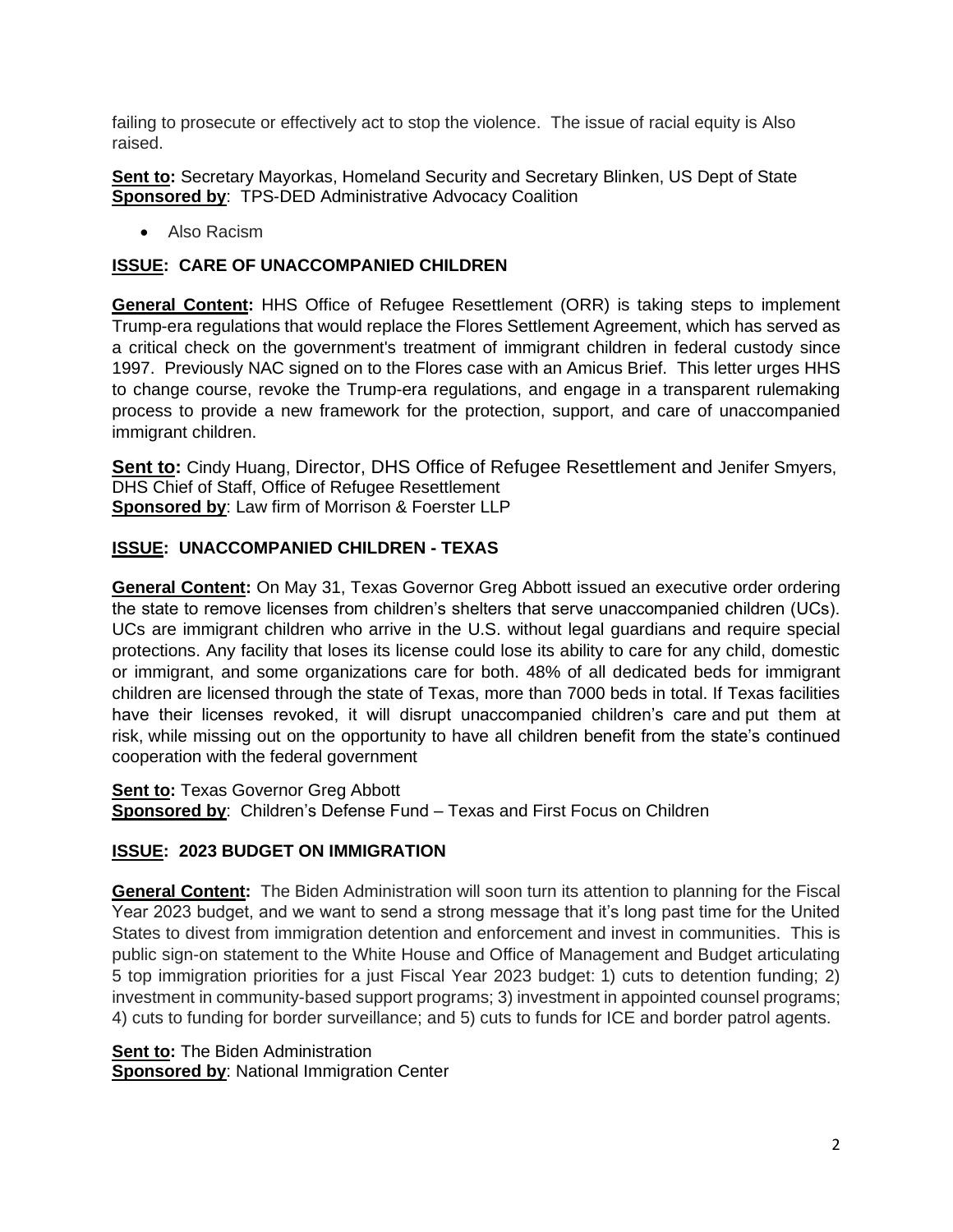failing to prosecute or effectively act to stop the violence. The issue of racial equity is Also raised.

**Sent to:** Secretary Mayorkas, Homeland Security and Secretary Blinken, US Dept of State **Sponsored by**: TPS-DED Administrative Advocacy Coalition

• Also Racism

## **ISSUE: CARE OF UNACCOMPANIED CHILDREN**

**General Content:** HHS Office of Refugee Resettlement (ORR) is taking steps to implement Trump-era regulations that would replace the Flores Settlement Agreement, which has served as a critical check on the government's treatment of immigrant children in federal custody since 1997. Previously NAC signed on to the Flores case with an Amicus Brief. This [letter](https://docs.google.com/document/d/1CKhLa_rMXK7t93ovR67zo3kDxY0WBblrgg9HSpoMWtk/edit?usp=sharing) urges HHS to change course, revoke the Trump-era regulations, and engage in a transparent rulemaking process to provide a new framework for the protection, support, and care of unaccompanied immigrant children.

**Sent to:** Cindy Huang, Director, DHS Office of Refugee Resettlement and Jenifer Smyers, DHS Chief of Staff, Office of Refugee Resettlement **Sponsored by**: Law firm of Morrison & Foerster LLP

## **ISSUE: UNACCOMPANIED CHILDREN - TEXAS**

**General Content:** On May 31, Texas Governor Greg Abbott issued an [executive order](https://gov.texas.gov/uploads/files/press/DISASTER_border_security_IMAGE_05-31-2021.pdf) ordering the state to remove licenses from children's shelters that serve unaccompanied children (UCs). UCs are immigrant children who arrive in the U.S. without legal guardians and require special protections. Any facility that loses its license could lose its ability to care for any child, domestic or immigrant, and some organizations care for both. 48% of all dedicated beds for immigrant children are licensed through the state of Texas, more than 7000 beds in total. If Texas facilities have their licenses revoked, it will disrupt unaccompanied children's care and put them at risk, while missing out on the opportunity to have all children benefit from the state's continued cooperation with the federal government

**Sent to: Texas Governor Greg Abbott Sponsored by**: Children's Defense Fund – Texas and First Focus on Children

## **ISSUE: 2023 BUDGET ON IMMIGRATION**

**General Content:** The Biden Administration will soon turn its attention to planning for the Fiscal Year 2023 budget, and we want to send a strong message that it's long past time for the United States to divest from immigration detention and enforcement and invest in communities. This is public sign-on statement to the White House and Office of Management and Budget articulating 5 top immigration priorities for a just Fiscal Year 2023 budget: 1) cuts to detention funding; 2) investment in community-based support programs; 3) investment in appointed counsel programs; 4) cuts to funding for border surveillance; and 5) cuts to funds for ICE and border patrol agents.

**Sent to:** The Biden Administration **Sponsored by**: National Immigration Center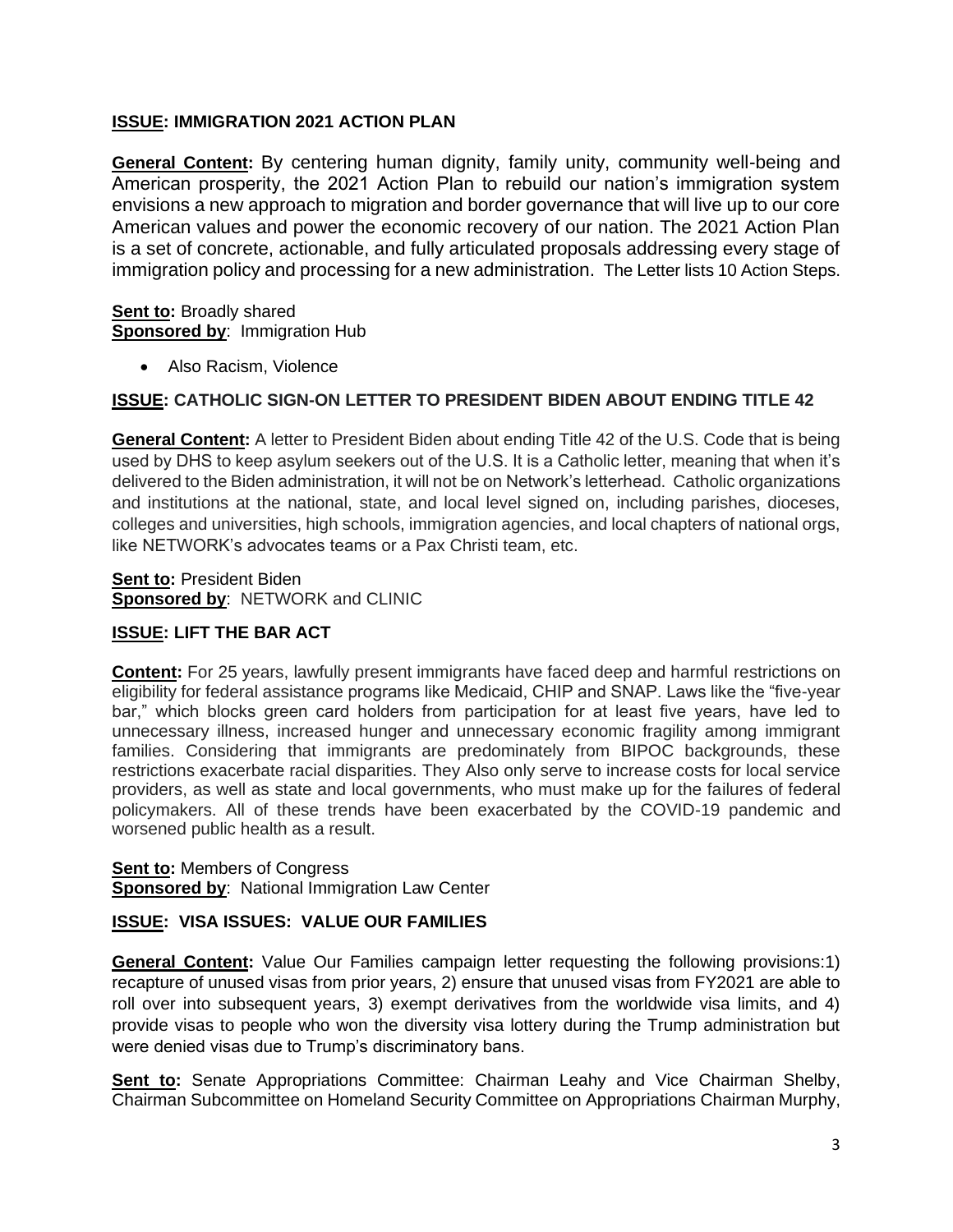## **ISSUE: IMMIGRATION 2021 ACTION PLAN**

**General Content:** By centering human dignity, family unity, community well-being and American prosperity, the 2021 Action Plan to rebuild our nation's immigration system envisions a new approach to migration and border governance that will live up to our core American values and power the economic recovery of our nation. The 2021 Action Plan is a set of concrete, actionable, and fully articulated proposals addressing every stage of immigration policy and processing for a new administration. The Letter lists 10 Action Steps.

**Sent to: Broadly shared Sponsored by: Immigration Hub** 

• Also Racism, Violence

#### **ISSUE: CATHOLIC SIGN-ON LETTER TO PRESIDENT BIDEN ABOUT ENDING TITLE 42**

**General Content:** A letter to President Biden about ending Title 42 of the U.S. Code that is being used by DHS to keep asylum seekers out of the U.S. It is a Catholic letter, meaning that when it's delivered to the Biden administration, it will not be on Network's letterhead. Catholic organizations and institutions at the national, state, and local level signed on, including parishes, dioceses, colleges and universities, high schools, immigration agencies, and local chapters of national orgs, like NETWORK's advocates teams or a Pax Christi team, etc.

**Sent to: President Biden Sponsored by**: NETWORK and CLINIC

## **ISSUE: LIFT THE BAR ACT**

**Content:** For 25 years, lawfully present immigrants have faced deep and harmful restrictions on eligibility for federal assistance programs like Medicaid, CHIP and SNAP. Laws like the "five-year bar," which blocks green card holders from participation for at least five years, have led to unnecessary illness, increased hunger and unnecessary economic fragility among immigrant families. Considering that immigrants are predominately from BIPOC backgrounds, these restrictions exacerbate racial disparities. They Also only serve to increase costs for local service providers, as well as state and local governments, who must make up for the failures of federal policymakers. All of these trends have been exacerbated by the COVID-19 pandemic and worsened public health as a result.

**Sent to: Members of Congress Sponsored by**: National Immigration Law Center

#### **ISSUE: VISA ISSUES: VALUE OUR FAMILIES**

**General Content:** Value Our Families campaign letter requesting the following provisions:1) recapture of unused visas from prior years, 2) ensure that unused visas from FY2021 are able to roll over into subsequent years, 3) exempt derivatives from the worldwide visa limits, and 4) provide visas to people who won the diversity visa lottery during the Trump administration but were denied visas due to Trump's discriminatory bans.

**Sent to:** Senate Appropriations Committee: Chairman Leahy and Vice Chairman Shelby, Chairman Subcommittee on Homeland Security Committee on Appropriations Chairman Murphy,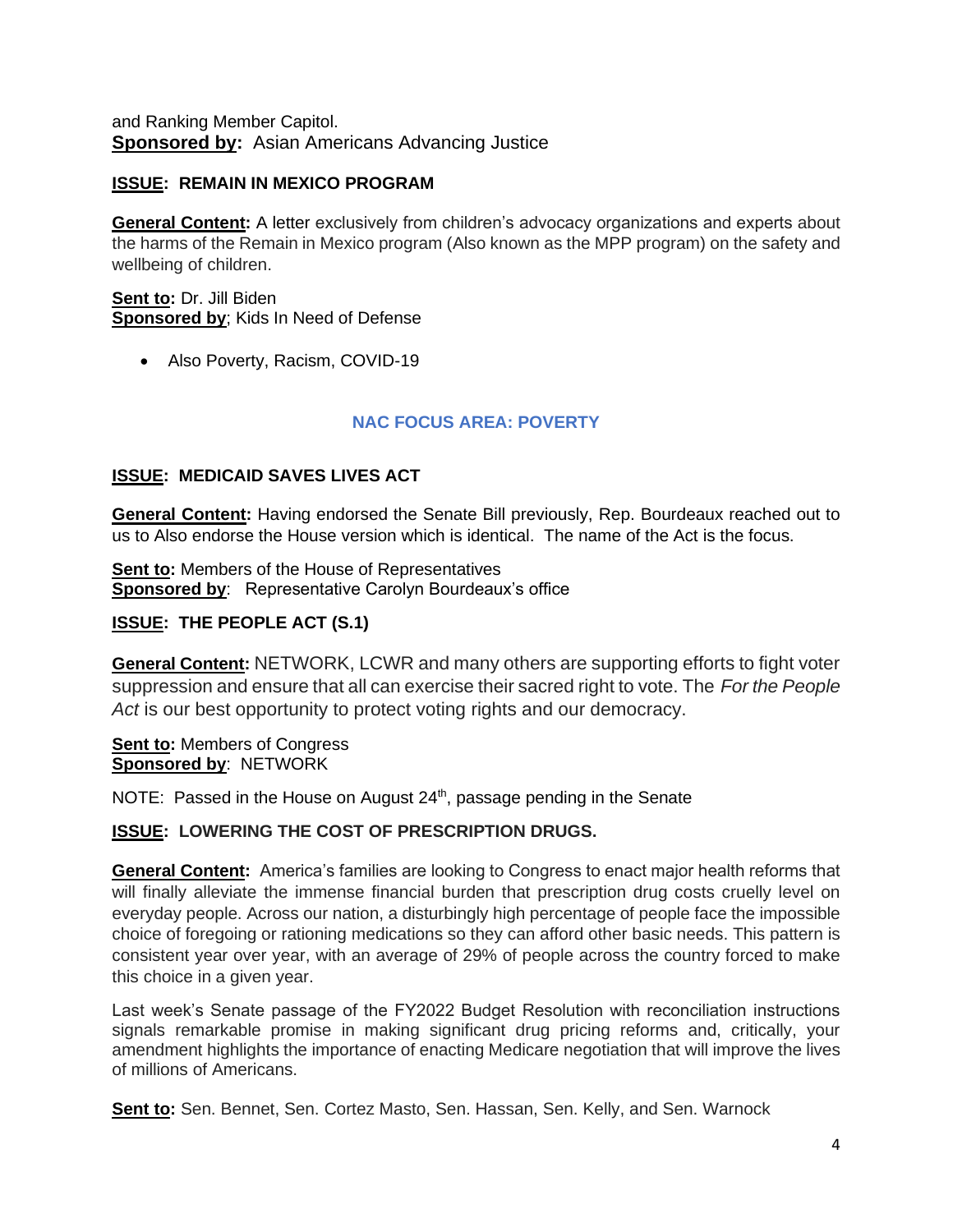and Ranking Member Capitol. **Sponsored by:** Asian Americans Advancing Justice

## **ISSUE: REMAIN IN MEXICO PROGRAM**

**General Content:** A letter exclusively from children's advocacy organizations and experts about the harms of the Remain in Mexico program (Also known as the MPP program) on the safety and wellbeing of children.

**Sent to:** Dr. Jill Biden **Sponsored by**; Kids In Need of Defense

• Also Poverty, Racism, COVID-19

## **NAC FOCUS AREA: POVERTY**

## **ISSUE: MEDICAID SAVES LIVES ACT**

**General Content:** Having endorsed the Senate Bill previously, Rep. Bourdeaux reached out to us to Also endorse the House version which is identical. The name of the Act is the focus.

**Sent to:** Members of the House of Representatives **Sponsored by:** Representative Carolyn Bourdeaux's office

## **ISSUE: THE PEOPLE ACT (S.1)**

**General Content:** NETWORK, LCWR and many others are supporting efforts to fight voter suppression and ensure that all can exercise their sacred right to vote. The *For the People Act* is our best opportunity to protect voting rights and our democracy.

**Sent to:** Members of Congress **Sponsored by**: NETWORK

NOTE: Passed in the House on August 24<sup>th</sup>, passage pending in the Senate

#### **ISSUE: LOWERING THE COST OF PRESCRIPTION DRUGS.**

**General Content:** America's families are looking to Congress to enact major health reforms that will finally alleviate the immense financial burden that prescription drug costs cruelly level on everyday people. Across our nation, a disturbingly high percentage of people face the impossible choice of foregoing or rationing medications so they can afford other basic needs. This pattern is consistent year over year, with an average of 29% of people across the country forced to make this choice in a given year.

Last week's Senate passage of the FY2022 Budget Resolution with reconciliation instructions signals remarkable promise in making significant drug pricing reforms and, critically, your amendment highlights the importance of enacting Medicare negotiation that will improve the lives of millions of Americans.

**Sent to:** Sen. Bennet, Sen. Cortez Masto, Sen. Hassan, Sen. Kelly, and Sen. Warnock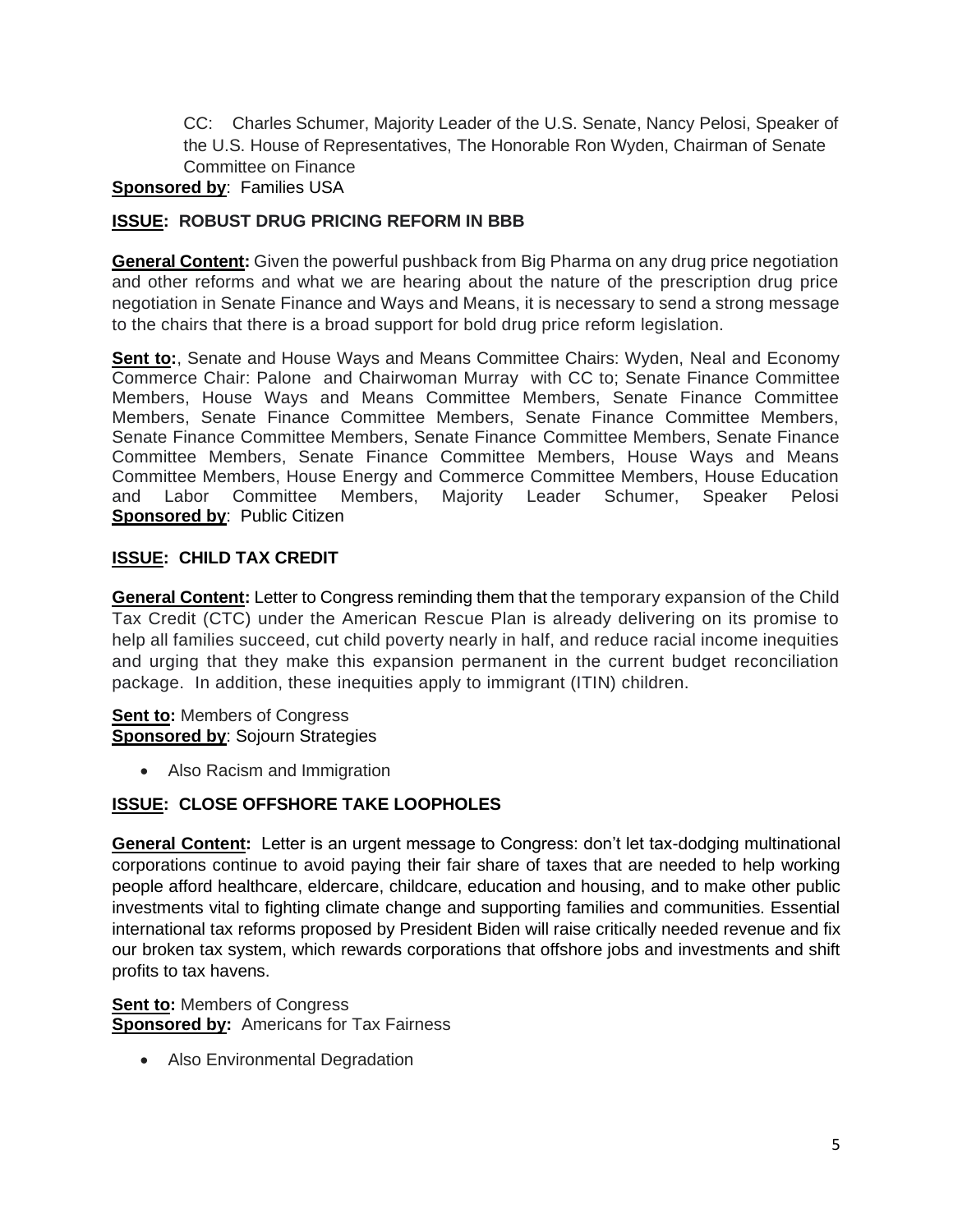CC: Charles Schumer, Majority Leader of the U.S. Senate, Nancy Pelosi, Speaker of the U.S. House of Representatives, The Honorable Ron Wyden, Chairman of Senate Committee on Finance

## **Sponsored by**: Families USA

## **ISSUE: ROBUST DRUG PRICING REFORM IN BBB**

**General Content:** Given the powerful pushback from Big Pharma on any drug price negotiation and other reforms and what we are hearing about the nature of the prescription drug price negotiation in Senate Finance and Ways and Means, it is necessary to send a strong message to the chairs that there is a broad support for bold drug price reform legislation.

**Sent to:**, Senate and House Ways and Means Committee Chairs: Wyden, Neal and Economy Commerce Chair: Palone and Chairwoman Murray with CC to; Senate Finance Committee Members, House Ways and Means Committee Members, Senate Finance Committee Members, Senate Finance Committee Members, Senate Finance Committee Members, Senate Finance Committee Members, Senate Finance Committee Members, Senate Finance Committee Members, Senate Finance Committee Members, House Ways and Means Committee Members, House Energy and Commerce Committee Members, House Education and Labor Committee Members, Majority Leader Schumer, Speaker Pelosi **Sponsored by: Public Citizen** 

## **ISSUE: CHILD TAX CREDIT**

**General Content:** Letter to Congress reminding them that the temporary expansion of the Child Tax Credit (CTC) under the American Rescue Plan is already delivering on its promise to help all families succeed, cut child poverty nearly in half, and reduce racial income inequities and urging that they make this expansion permanent in the current budget reconciliation package. In addition, these inequities apply to immigrant (ITIN) children.

**Sent to:** Members of Congress **Sponsored by: Sojourn Strategies** 

• Also Racism and Immigration

## **ISSUE: CLOSE OFFSHORE TAKE LOOPHOLES**

**General Content:** Letter is an urgent message to Congress: don't let tax-dodging multinational corporations continue to avoid paying their fair share of taxes that are needed to help working people afford healthcare, eldercare, childcare, education and housing, and to make other public investments vital to fighting climate change and supporting families and communities. Essential international tax reforms [proposed by President Biden](https://home.treasury.gov/system/files/136/MadeInAmericaTaxPlan_Report.pdf) will raise critically needed revenue and fix our broken tax system, which rewards corporations that offshore jobs and investments and shift profits to tax havens.

**Sent to:** Members of Congress **Sponsored by:** Americans for Tax Fairness

• Also Environmental Degradation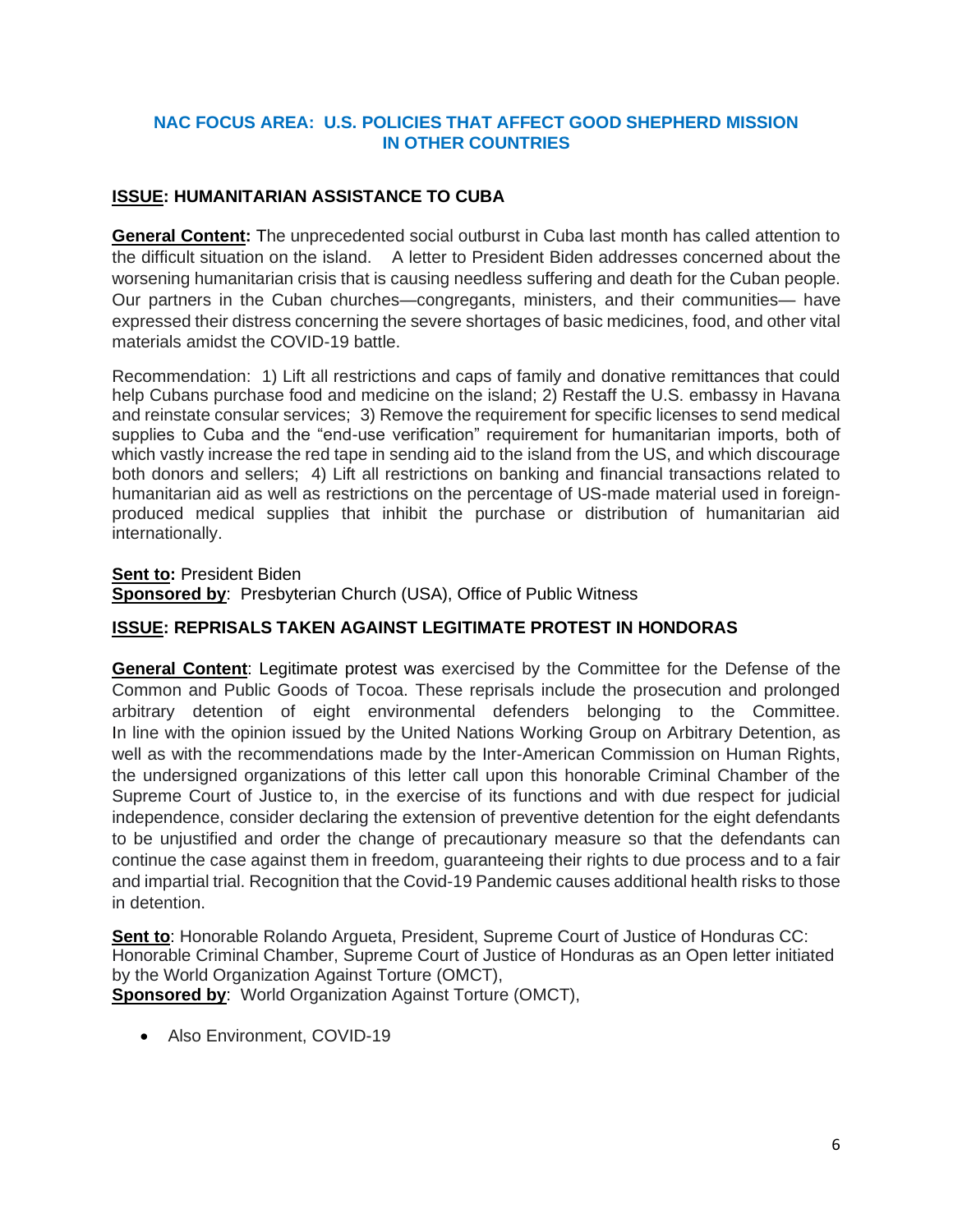## **NAC FOCUS AREA: U.S. POLICIES THAT AFFECT GOOD SHEPHERD MISSION IN OTHER COUNTRIES**

## **ISSUE: HUMANITARIAN ASSISTANCE TO CUBA**

**General Content:** The unprecedented social outburst in Cuba last month has called attention to the difficult situation on the island. A letter to President Biden addresses concerned about the worsening humanitarian crisis that is causing needless suffering and death for the Cuban people. Our partners in the Cuban churches—congregants, ministers, and their communities— have expressed their distress concerning the severe shortages of basic medicines, food, and other vital materials amidst the COVID-19 battle.

Recommendation: 1) Lift all restrictions and caps of family and donative remittances that could help Cubans purchase food and medicine on the island; 2) Restaff the U.S. embassy in Havana and reinstate consular services; 3) Remove the requirement for specific licenses to send medical supplies to Cuba and the "end-use verification" requirement for humanitarian imports, both of which vastly increase the red tape in sending aid to the island from the US, and which discourage both donors and sellers; 4) Lift all restrictions on banking and financial transactions related to humanitarian aid as well as restrictions on the percentage of US-made material used in foreignproduced medical supplies that inhibit the purchase or distribution of humanitarian aid internationally.

**Sent to: President Biden Sponsored by**: Presbyterian Church (USA), Office of Public Witness

## **ISSUE: REPRISALS TAKEN AGAINST LEGITIMATE PROTEST IN HONDORAS**

**General Content**: Legitimate protest was exercised by the Committee for the Defense of the Common and Public Goods of Tocoa. These reprisals include the prosecution and prolonged arbitrary detention of eight environmental defenders belonging to the Committee. In line with the opinion issued by the United Nations Working Group on Arbitrary Detention, as well as with the recommendations made by the Inter-American Commission on Human Rights, the undersigned organizations of this letter call upon this honorable Criminal Chamber of the Supreme Court of Justice to, in the exercise of its functions and with due respect for judicial independence, consider declaring the extension of preventive detention for the eight defendants to be unjustified and order the change of precautionary measure so that the defendants can continue the case against them in freedom, guaranteeing their rights to due process and to a fair and impartial trial. Recognition that the Covid-19 Pandemic causes additional health risks to those in detention.

**Sent to**: Honorable Rolando Argueta, President, Supreme Court of Justice of Honduras CC: Honorable Criminal Chamber, Supreme Court of Justice of Honduras as an Open letter initiated by the World Organization Against Torture (OMCT), **Sponsored by:** World Organization Against Torture (OMCT),

• Also Environment, COVID-19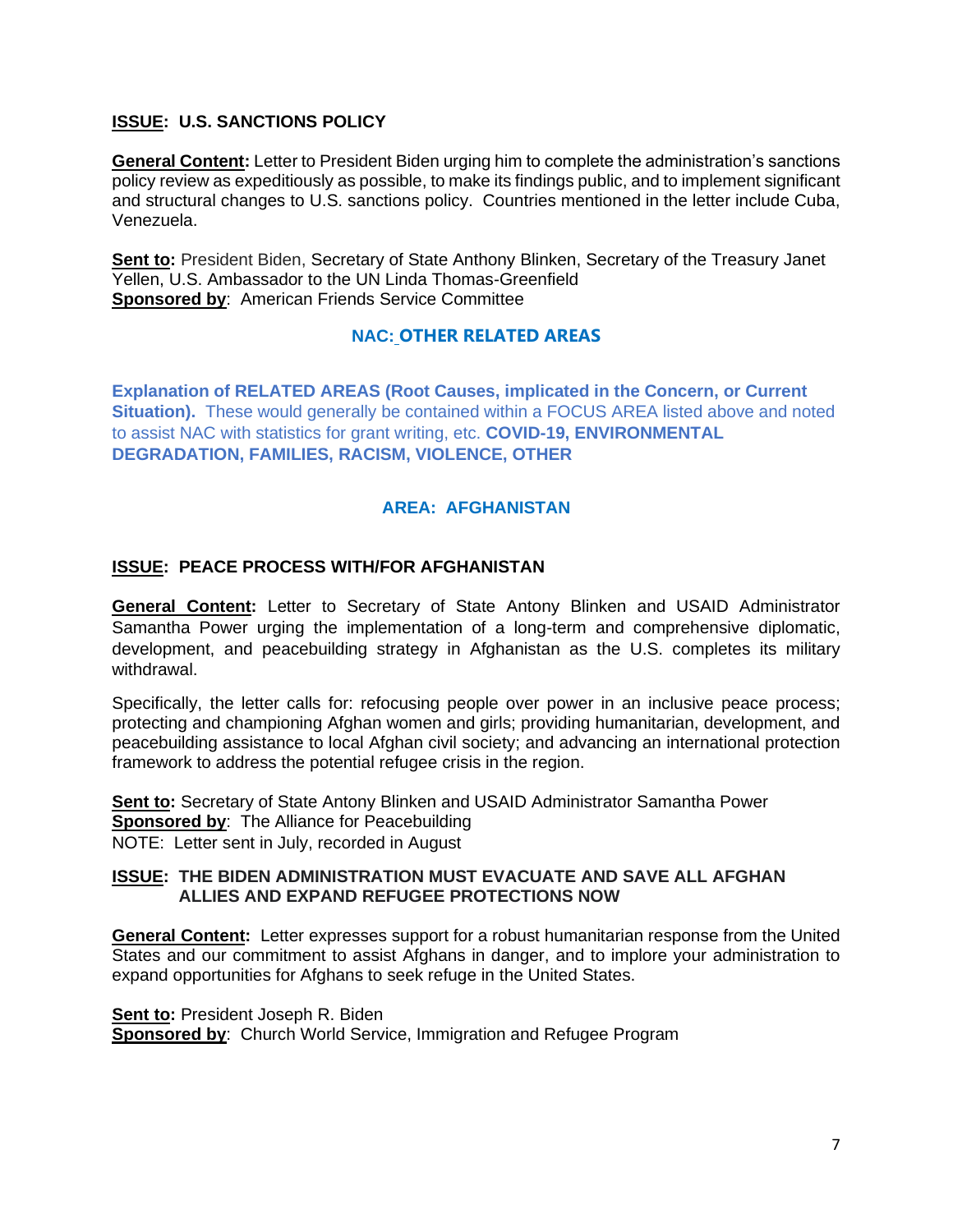## **ISSUE: U.S. SANCTIONS POLICY**

**General Content:** Letter to President Biden urging him to complete the administration's sanctions policy review as expeditiously as possible, to make its findings public, and to implement significant and structural changes to U.S. sanctions policy. Countries mentioned in the letter include Cuba, Venezuela.

**Sent to:** President Biden, Secretary of State Anthony Blinken, Secretary of the Treasury Janet Yellen, U.S. Ambassador to the UN Linda Thomas-Greenfield **Sponsored by**: American Friends Service Committee

## **NAC: OTHER RELATED AREAS**

**Explanation of RELATED AREAS (Root Causes, implicated in the Concern, or Current Situation).** These would generally be contained within a FOCUS AREA listed above and noted to assist NAC with statistics for grant writing, etc. **COVID-19, ENVIRONMENTAL DEGRADATION, FAMILIES, RACISM, VIOLENCE, OTHER**

## **AREA: AFGHANISTAN**

#### **ISSUE: PEACE PROCESS WITH/FOR AFGHANISTAN**

**General Content:** Letter to Secretary of State Antony Blinken and USAID Administrator Samantha Power urging the implementation of a long-term and comprehensive diplomatic, development, and peacebuilding strategy in Afghanistan as the U.S. completes its military withdrawal.

Specifically, the letter calls for: refocusing people over power in an inclusive peace process; protecting and championing Afghan women and girls; providing humanitarian, development, and peacebuilding assistance to local Afghan civil society; and advancing an international protection framework to address the potential refugee crisis in the region.

**Sent to:** Secretary of State Antony Blinken and USAID Administrator Samantha Power **Sponsored by**: The Alliance for Peacebuilding NOTE: Letter sent in July, recorded in August

#### **ISSUE: THE BIDEN ADMINISTRATION MUST EVACUATE AND SAVE ALL AFGHAN ALLIES AND EXPAND REFUGEE PROTECTIONS NOW**

**General Content:** Letter expresses support for a robust humanitarian response from the United States and our commitment to assist Afghans in danger, and to implore your administration to expand opportunities for Afghans to seek refuge in the United States.

**Sent to: President Joseph R. Biden Sponsored by:** Church World Service, Immigration and Refugee Program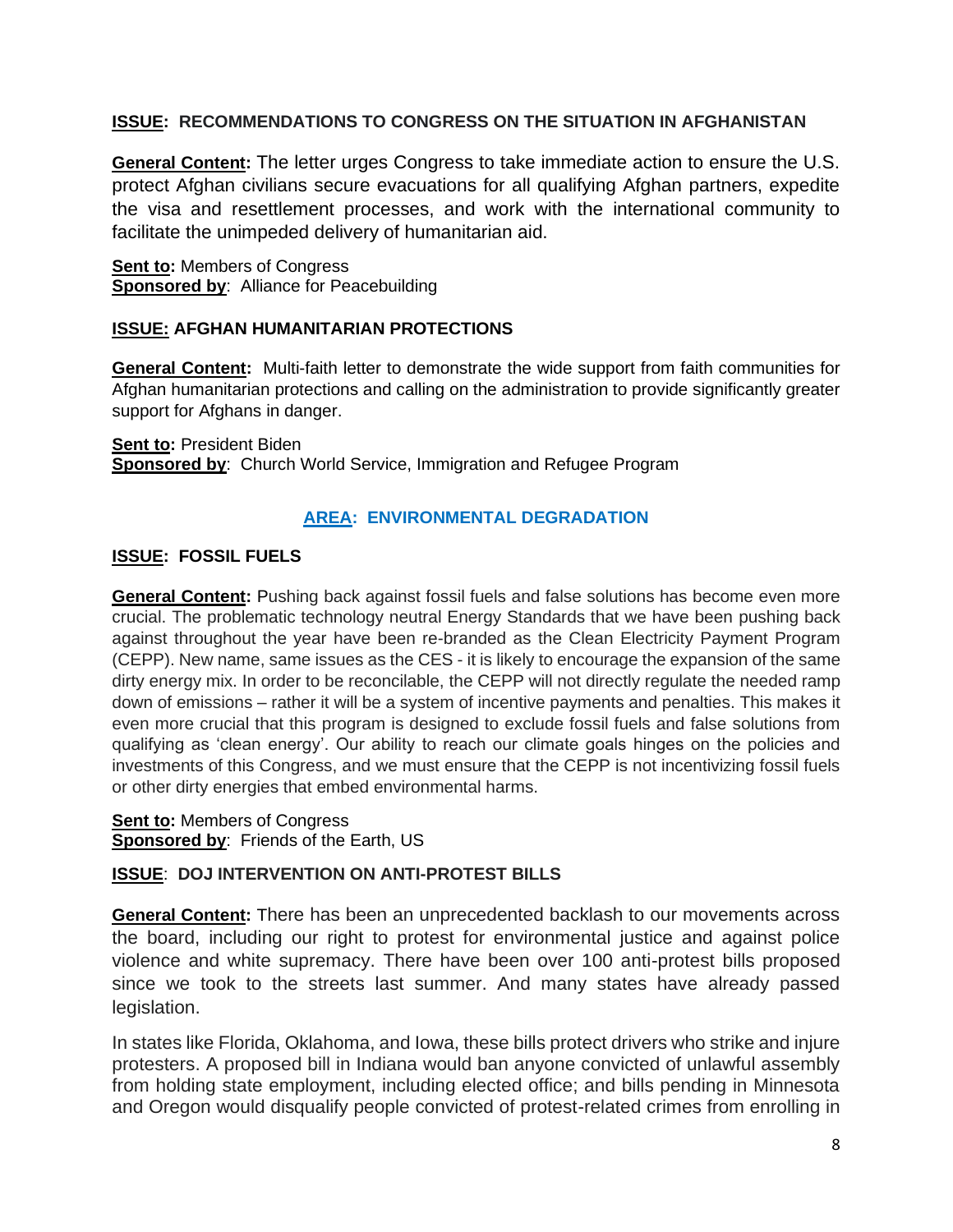## **ISSUE: RECOMMENDATIONS TO CONGRESS ON THE SITUATION IN AFGHANISTAN**

**General Content:** The letter urges Congress to take immediate action to ensure the U.S. protect Afghan civilians secure evacuations for all qualifying Afghan partners, expedite the visa and resettlement processes, and work with the international community to facilitate the unimpeded delivery of humanitarian aid.

**Sent to:** Members of Congress **Sponsored by:** Alliance for Peacebuilding

## **ISSUE: AFGHAN HUMANITARIAN PROTECTIONS**

**General Content:** Multi-faith letter to demonstrate the wide support from faith communities for Afghan humanitarian protections and calling on the administration to provide significantly greater support for Afghans in danger.

**Sent to: President Biden Sponsored by**: Church World Service, Immigration and Refugee Program

## **AREA: ENVIRONMENTAL DEGRADATION**

## **ISSUE: FOSSIL FUELS**

**General Content:** Pushing back against fossil fuels and false solutions has become even more crucial. The problematic technology neutral Energy Standards that we have been pushing back against throughout the year have been re-branded as the Clean Electricity Payment Program (CEPP). New name, same issues as the CES - it is likely to encourage the expansion of the same dirty energy mix. In order to be reconcilable, the CEPP will not directly regulate the needed ramp down of emissions – rather it will be a system of incentive payments and penalties. This makes it even more crucial that this program is designed to exclude fossil fuels and false solutions from qualifying as 'clean energy'. Our ability to reach our climate goals hinges on the policies and investments of this Congress, and we must ensure that the CEPP is not incentivizing fossil fuels or other dirty energies that embed environmental harms.

**Sent to: Members of Congress Sponsored by**: Friends of the Earth, US

#### **ISSUE**: **DOJ INTERVENTION ON ANTI-PROTEST BILLS**

**General Content:** There has been an unprecedented backlash to our movements across the board, including our right to protest for environmental justice and against police violence and white supremacy. There have been over 100 anti-protest bills proposed since we took to the streets last summer. And many states have already passed legislation.

In states like Florida, Oklahoma, and Iowa, these bills protect drivers who strike and injure protesters. A proposed bill in Indiana would ban anyone convicted of unlawful assembly from holding state employment, including elected office; and bills pending in Minnesota and Oregon would disqualify people convicted of protest-related crimes from enrolling in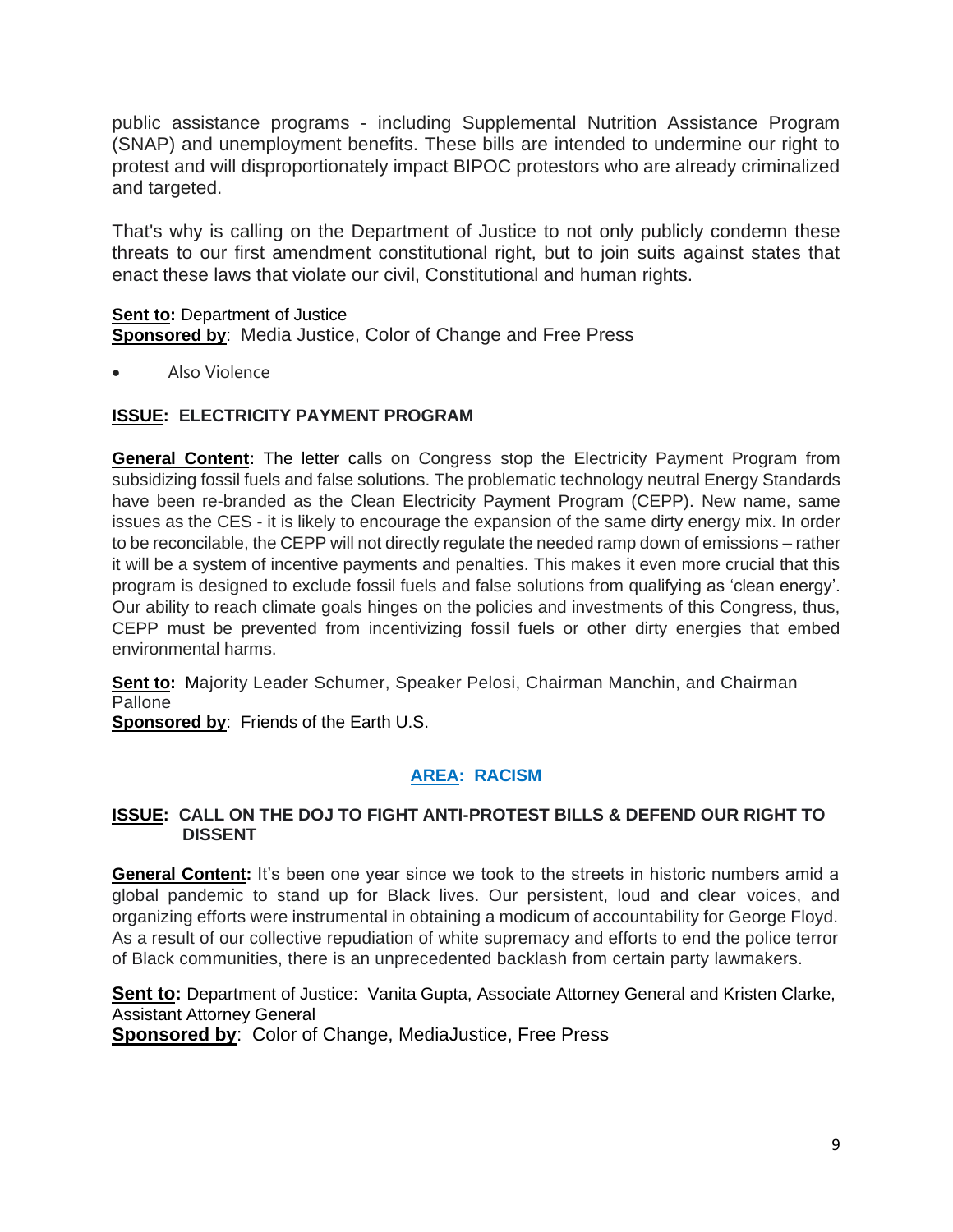public assistance programs - including Supplemental Nutrition Assistance Program (SNAP) and unemployment benefits. These bills are intended to undermine our right to protest and will disproportionately impact BIPOC protestors who are already criminalized and targeted.

That's why is calling on the Department of Justice to not only publicly condemn these threats to our first amendment constitutional right, but to join suits against states that enact these laws that violate our civil, Constitutional and human rights.

**Sent to:** Department of Justice **Sponsored by**: Media Justice, Color of Change and Free Press

• Also Violence

## **ISSUE: ELECTRICITY PAYMENT PROGRAM**

**General Content:** The letter calls on Congress stop the Electricity Payment Program from subsidizing fossil fuels and false solutions. The problematic technology neutral Energy Standards have been re-branded as the Clean Electricity Payment Program (CEPP). New name, same issues as the CES - it is likely to encourage the expansion of the same dirty energy mix. In order to be reconcilable, the CEPP will not directly regulate the needed ramp down of emissions – rather it will be a system of incentive payments and penalties. This makes it even more crucial that this program is designed to exclude fossil fuels and false solutions from qualifying as 'clean energy'. Our ability to reach climate goals hinges on the policies and investments of this Congress, thus, CEPP must be prevented from incentivizing fossil fuels or other dirty energies that embed environmental harms.

**Sent to:** Majority Leader Schumer, Speaker Pelosi, Chairman Manchin, and Chairman Pallone

**Sponsored by:** Friends of the Earth U.S.

# **AREA: RACISM**

#### **ISSUE: CALL ON THE DOJ TO FIGHT ANTI-PROTEST BILLS & DEFEND OUR RIGHT TO DISSENT**

**General Content:** It's been one year since we took to the streets in historic numbers amid a global pandemic to stand up for Black lives. Our persistent, loud and clear voices, and organizing efforts were instrumental in obtaining a modicum of accountability for George Floyd. As a result of our collective repudiation of white supremacy and efforts to end the police terror of Black communities, there is an unprecedented backlash from certain party lawmakers.

**Sent to:** Department of Justice: Vanita Gupta, Associate Attorney General and Kristen Clarke, Assistant Attorney General

**Sponsored by**: Color of Change, MediaJustice, Free Press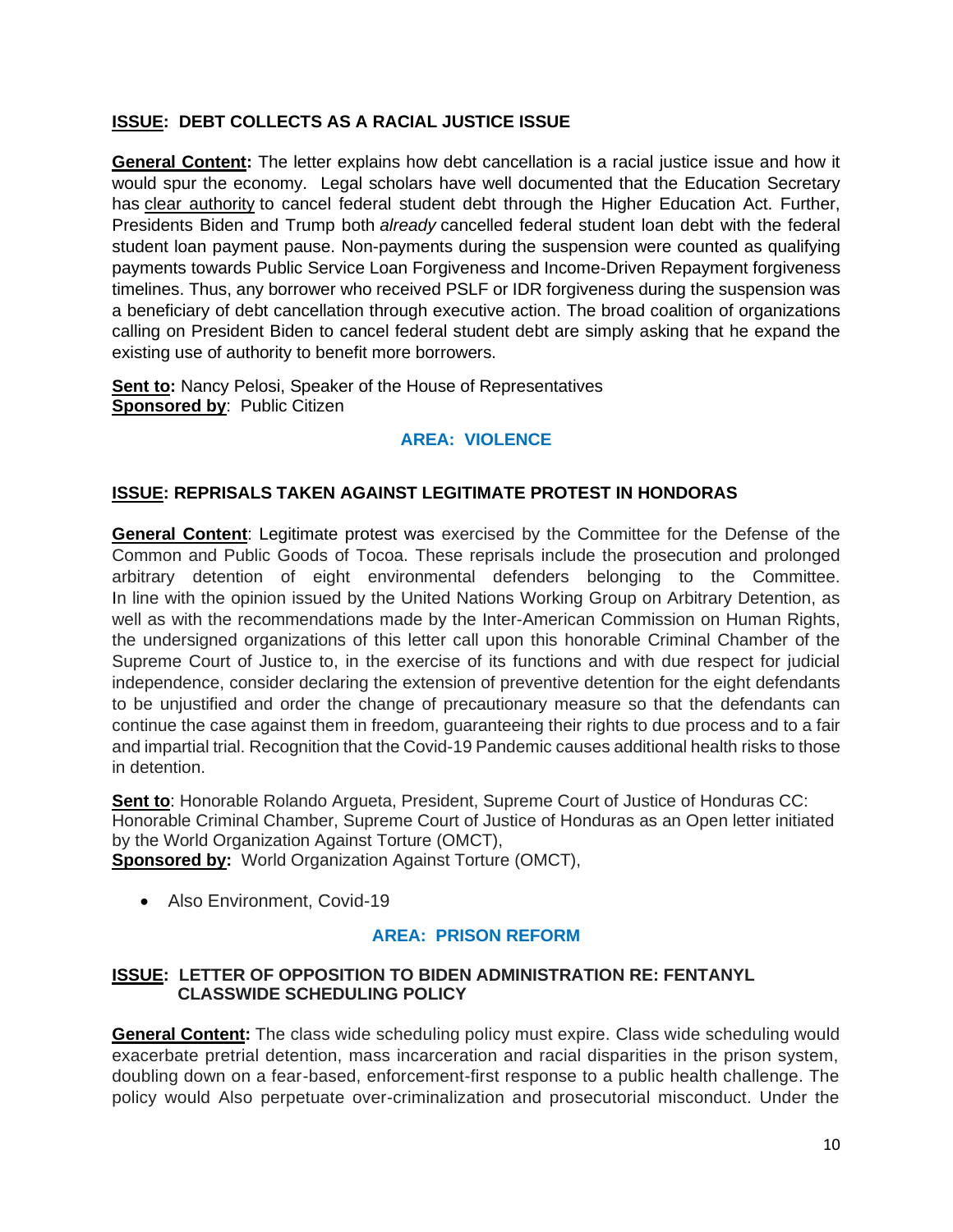## **ISSUE: DEBT COLLECTS AS A RACIAL JUSTICE ISSUE**

**General Content:** The letter explains how debt cancellation is a racial justice issue and how it would spur the economy. Legal scholars have well documented that the Education Secretary has [clear authority](https://www.warren.senate.gov/imo/media/doc/Ltr%20to%20Warren%20re%20admin%20debt%20cancellation.pdf) to cancel federal student debt through the Higher Education Act. Further, Presidents Biden and Trump both *already* cancelled federal student loan debt with the federal student loan payment pause. Non-payments during the suspension were counted as qualifying payments towards Public Service Loan Forgiveness and Income-Driven Repayment forgiveness timelines. Thus, any borrower who received PSLF or IDR forgiveness during the suspension was a beneficiary of debt cancellation through executive action. The broad coalition of organizations calling on President Biden to cancel federal student debt are simply asking that he expand the existing use of authority to benefit more borrowers.

**Sent to:** Nancy Pelosi, Speaker of the House of Representatives **Sponsored by: Public Citizen** 

## **AREA: VIOLENCE**

#### **ISSUE: REPRISALS TAKEN AGAINST LEGITIMATE PROTEST IN HONDORAS**

**General Content**: Legitimate protest was exercised by the Committee for the Defense of the Common and Public Goods of Tocoa. These reprisals include the prosecution and prolonged arbitrary detention of eight environmental defenders belonging to the Committee. In line with the opinion issued by the United Nations Working Group on Arbitrary Detention, as well as with the recommendations made by the Inter-American Commission on Human Rights, the undersigned organizations of this letter call upon this honorable Criminal Chamber of the Supreme Court of Justice to, in the exercise of its functions and with due respect for judicial independence, consider declaring the extension of preventive detention for the eight defendants to be unjustified and order the change of precautionary measure so that the defendants can continue the case against them in freedom, guaranteeing their rights to due process and to a fair and impartial trial. Recognition that the Covid-19 Pandemic causes additional health risks to those in detention.

**Sent to**: Honorable Rolando Argueta, President, Supreme Court of Justice of Honduras CC: Honorable Criminal Chamber, Supreme Court of Justice of Honduras as an Open letter initiated by the World Organization Against Torture (OMCT), **Sponsored by:** World Organization Against Torture (OMCT),

• Also Environment, Covid-19

#### **AREA: PRISON REFORM**

## **ISSUE: LETTER OF OPPOSITION TO BIDEN ADMINISTRATION RE: FENTANYL CLASSWIDE SCHEDULING POLICY**

**General Content:** The class wide scheduling policy must expire. Class wide scheduling would exacerbate pretrial detention, mass incarceration and racial disparities in the prison system, doubling down on a fear-based, enforcement-first response to a public health challenge. The policy would Also perpetuate over-criminalization and prosecutorial misconduct. Under the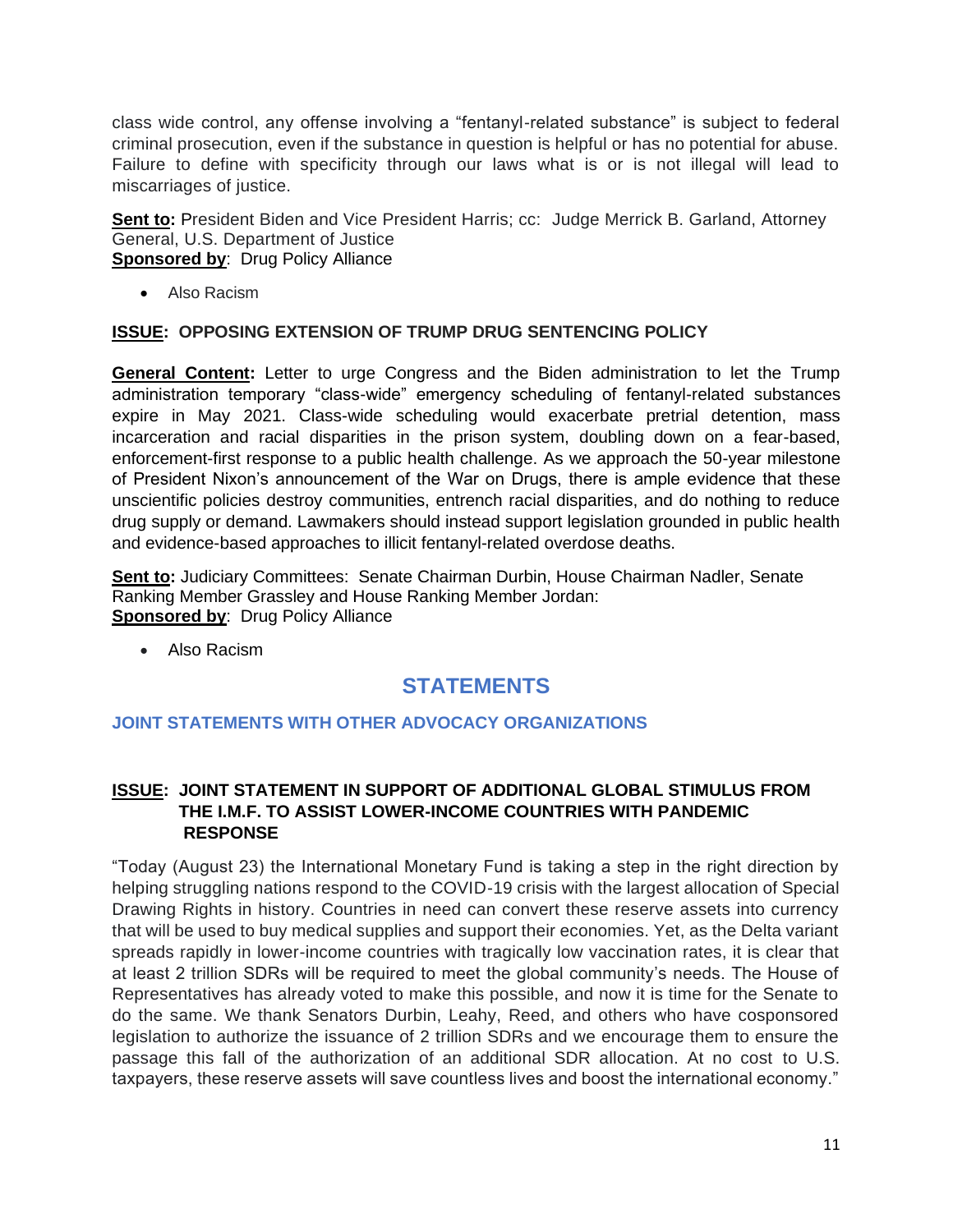class wide control, any offense involving a "fentanyl-related substance" is subject to federal criminal prosecution, even if the substance in question is helpful or has no potential for abuse. Failure to define with specificity through our laws what is or is not illegal will lead to miscarriages of justice.

**Sent to:** President Biden and Vice President Harris; cc: Judge Merrick B. Garland, Attorney General, U.S. Department of Justice **Sponsored by: Drug Policy Alliance** 

• Also Racism

#### **ISSUE: OPPOSING EXTENSION OF TRUMP DRUG SENTENCING POLICY**

**General Content:** Letter to urge Congress and the Biden administration to let the Trump administration temporary "class-wide" emergency scheduling of fentanyl-related substances expire in May 2021. Class-wide scheduling would exacerbate pretrial detention, mass incarceration and racial disparities in the prison system, doubling down on a fear-based, enforcement-first response to a public health challenge. As we approach the 50-year milestone of President Nixon's announcement of the War on Drugs, there is ample evidence that these unscientific policies destroy communities, entrench racial disparities, and do nothing to reduce drug supply or demand. Lawmakers should instead support legislation grounded in public health and evidence-based approaches to illicit fentanyl-related overdose deaths.

**Sent to:** Judiciary Committees: Senate Chairman Durbin, House Chairman Nadler, Senate Ranking Member Grassley and House Ranking Member Jordan: **Sponsored by: Drug Policy Alliance** 

• Also Racism

# **STATEMENTS**

#### **JOINT STATEMENTS WITH OTHER ADVOCACY ORGANIZATIONS**

#### **ISSUE: JOINT STATEMENT IN SUPPORT OF ADDITIONAL GLOBAL STIMULUS FROM THE I.M.F. TO ASSIST LOWER-INCOME COUNTRIES WITH PANDEMIC RESPONSE**

"Today (August 23) the International Monetary Fund is taking a step in the right direction by helping struggling nations respond to the COVID-19 crisis with the largest allocation of Special Drawing Rights in history. Countries in need can convert these reserve assets into currency that will be used to buy medical supplies and support their economies. Yet, as the Delta variant spreads rapidly in lower-income countries with tragically low vaccination rates, it is clear that at least 2 trillion SDRs will be required to meet the global community's needs. The House of Representatives has already voted to make this possible, and now it is time for the Senate to do the same. We thank Senators Durbin, Leahy, Reed, and others who have cosponsored legislation to authorize the issuance of 2 trillion SDRs and we encourage them to ensure the passage this fall of the authorization of an additional SDR allocation. At no cost to U.S. taxpayers, these reserve assets will save countless lives and boost the international economy."